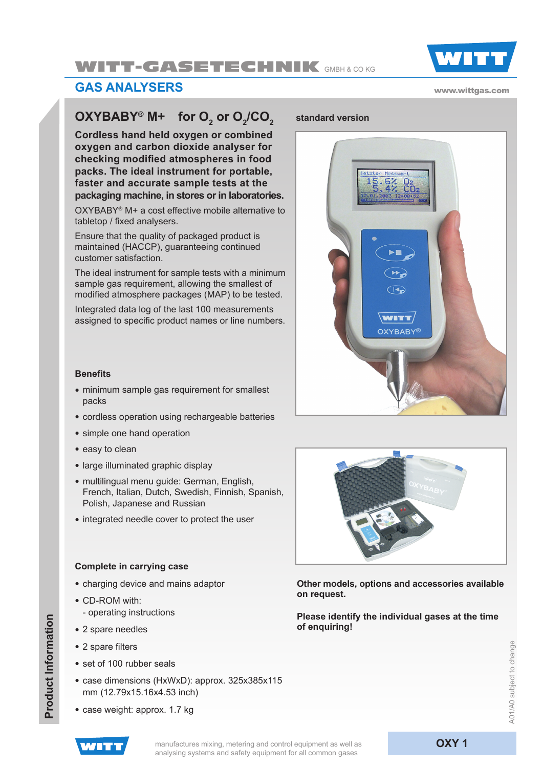# WITT-GASETECHNIK GMBH & CO KG



### **GAs analysers**

#### www.wittgas.com

## **OXYBABY® M+** for O<sub>2</sub> or O<sub>2</sub>/CO<sub>2</sub>

**Cordless hand held oxygen or combined oxygen and carbon dioxide analyser for checking modified atmospheres in food packs. The ideal instrument for portable, faster and accurate sample tests at the packaging machine, in stores or in laboratories.**

OXYBABY® M+ a cost effective mobile alternative to tabletop / fixed analysers.

Ensure that the quality of packaged product is maintained (HACCP), guaranteeing continued customer satisfaction.

The ideal instrument for sample tests with a minimum sample gas requirement, allowing the smallest of modified atmosphere packages (MAP) to be tested.

Integrated data log of the last 100 measurements assigned to specific product names or line numbers.

### **Benefits**

- minimum sample gas requirement for smallest packs
- cordless operation using rechargeable batteries
- simple one hand operation
- easy to clean
- large illuminated graphic display
- multilingual menu guide: German, English, French, Italian, Dutch, Swedish, Finnish, Spanish, Polish, Japanese and Russian
- integrated needle cover to protect the user

#### **Complete in carrying case**

- charging device and mains adaptor
- CD-ROM with:
	- operating instructions
- 2 spare needles
- 2 spare filters

**Product Information**

Product Information

- set of 100 rubber seals
- case dimensions (HxWxD): approx. 325x385x115 mm (12.79x15.16x4.53 inch)
- case weight: approx. 1.7 kg

### **/CO2 standard version**





**Other models, options and accessories available on request.**

**Please identify the individual gases at the time of enquiring!**



manufactures mixing, metering and control equipment as well as **OXY 1** analysing systems and safety equipment for all common gases